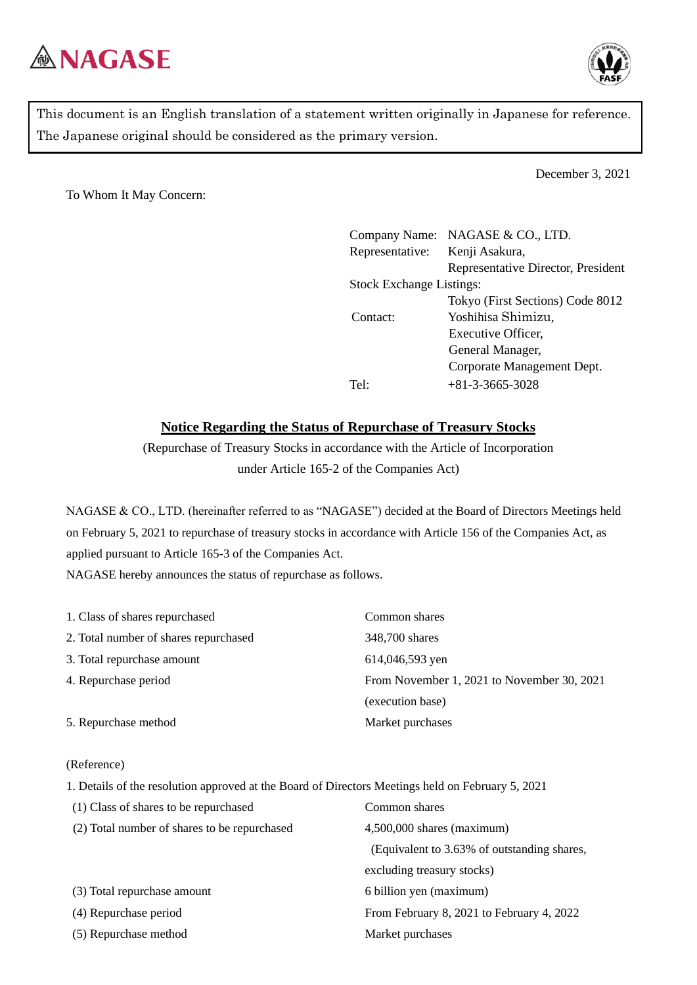



This document is an English translation of a statement written originally in Japanese for reference. The Japanese original should be considered as the primary version.

December 3, 2021

To Whom It May Concern:

Company Name: NAGASE & CO., LTD. Representative: Kenji Asakura, Representative Director, President Stock Exchange Listings: Tokyo (First Sections) Code 8012 Contact: Yoshihisa Shimizu, Executive Officer, General Manager, Corporate Management Dept. Tel:  $+81-3-3665-3028$ 

## **Notice Regarding the Status of Repurchase of Treasury Stocks**

(Repurchase of Treasury Stocks in accordance with the Article of Incorporation under Article 165-2 of the Companies Act)

NAGASE & CO., LTD. (hereinafter referred to as "NAGASE") decided at the Board of Directors Meetings held on February 5, 2021 to repurchase of treasury stocks in accordance with Article 156 of the Companies Act, as applied pursuant to Article 165-3 of the Companies Act. NAGASE hereby announces the status of repurchase as follows.

| 1. Class of shares repurchased        | Common shares                              |
|---------------------------------------|--------------------------------------------|
| 2. Total number of shares repurchased | 348,700 shares                             |
| 3. Total repurchase amount            | 614,046,593 yen                            |
| 4. Repurchase period                  | From November 1, 2021 to November 30, 2021 |
|                                       | (execution base)                           |
| 5. Repurchase method                  | Market purchases                           |

## (Reference)

1. Details of the resolution approved at the Board of Directors Meetings held on February 5, 2021 (1) Class of shares to be repurchased Common shares

| $1 - 7$ . The state of the second state of the state of the state of the state of the state of the state of the state of the state of the state of the state of the state of the state of the state of the state of the state |                                             |
|-------------------------------------------------------------------------------------------------------------------------------------------------------------------------------------------------------------------------------|---------------------------------------------|
| (2) Total number of shares to be repurchased                                                                                                                                                                                  | $4,500,000$ shares (maximum)                |
|                                                                                                                                                                                                                               | (Equivalent to 3.63% of outstanding shares, |
|                                                                                                                                                                                                                               | excluding treasury stocks)                  |
| (3) Total repurchase amount                                                                                                                                                                                                   | 6 billion yen (maximum)                     |
| (4) Repurchase period                                                                                                                                                                                                         | From February 8, 2021 to February 4, 2022   |
| (5) Repurchase method                                                                                                                                                                                                         | Market purchases                            |
|                                                                                                                                                                                                                               |                                             |